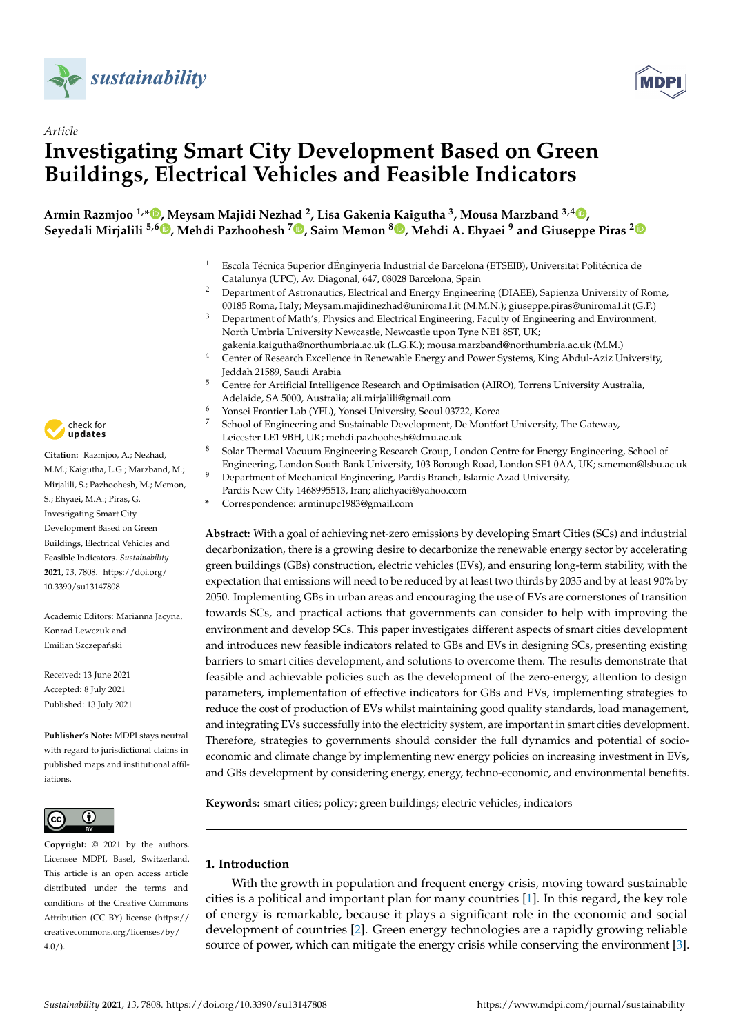



# *Article* **Investigating Smart City Development Based on Green Buildings, Electrical Vehicles and Feasible Indicators**

**Armin Razmjoo 1,[\\*](https://orcid.org/0000-0001-9415-4649) , Meysam Majidi Nezhad <sup>2</sup> , Lisa Gakenia Kaigutha <sup>3</sup> , Mousa Marzband 3,4 [,](https://orcid.org/0000-0003-3482-609X) Seyedali Mirjalili 5,6 [,](https://orcid.org/0000-0002-1443-9458) Mehdi Pazhoohesh <sup>7</sup> [,](https://orcid.org/0000-0001-7268-3355) Saim Memon <sup>8</sup> [,](https://orcid.org/0000-0003-2598-8935) Mehdi A. Ehyaei <sup>9</sup> and Giuseppe Piras [2](https://orcid.org/0000-0002-2800-3962)**

- <sup>1</sup> Escola Técnica Superior dÉnginyeria Industrial de Barcelona (ETSEIB), Universitat Politécnica de Catalunya (UPC), Av. Diagonal, 647, 08028 Barcelona, Spain
- <sup>2</sup> Department of Astronautics, Electrical and Energy Engineering (DIAEE), Sapienza University of Rome, 00185 Roma, Italy; Meysam.majidinezhad@uniroma1.it (M.M.N.); giuseppe.piras@uniroma1.it (G.P.)
- <sup>3</sup> Department of Math's, Physics and Electrical Engineering, Faculty of Engineering and Environment, North Umbria University Newcastle, Newcastle upon Tyne NE1 8ST, UK;
- gakenia.kaigutha@northumbria.ac.uk (L.G.K.); mousa.marzband@northumbria.ac.uk (M.M.)
- <sup>4</sup> Center of Research Excellence in Renewable Energy and Power Systems, King Abdul-Aziz University, Jeddah 21589, Saudi Arabia
- <sup>5</sup> Centre for Artificial Intelligence Research and Optimisation (AIRO), Torrens University Australia, Adelaide, SA 5000, Australia; ali.mirjalili@gmail.com
- <sup>6</sup> Yonsei Frontier Lab (YFL), Yonsei University, Seoul 03722, Korea
- School of Engineering and Sustainable Development, De Montfort University, The Gateway, Leicester LE1 9BH, UK; mehdi.pazhoohesh@dmu.ac.uk
- <sup>8</sup> Solar Thermal Vacuum Engineering Research Group, London Centre for Energy Engineering, School of Engineering, London South Bank University, 103 Borough Road, London SE1 0AA, UK; s.memon@lsbu.ac.uk
- Department of Mechanical Engineering, Pardis Branch, Islamic Azad University, Pardis New City 1468995513, Iran; aliehyaei@yahoo.com
- **\*** Correspondence: arminupc1983@gmail.com

**Abstract:** With a goal of achieving net-zero emissions by developing Smart Cities (SCs) and industrial decarbonization, there is a growing desire to decarbonize the renewable energy sector by accelerating green buildings (GBs) construction, electric vehicles (EVs), and ensuring long-term stability, with the expectation that emissions will need to be reduced by at least two thirds by 2035 and by at least 90% by 2050. Implementing GBs in urban areas and encouraging the use of EVs are cornerstones of transition towards SCs, and practical actions that governments can consider to help with improving the environment and develop SCs. This paper investigates different aspects of smart cities development and introduces new feasible indicators related to GBs and EVs in designing SCs, presenting existing barriers to smart cities development, and solutions to overcome them. The results demonstrate that feasible and achievable policies such as the development of the zero-energy, attention to design parameters, implementation of effective indicators for GBs and EVs, implementing strategies to reduce the cost of production of EVs whilst maintaining good quality standards, load management, and integrating EVs successfully into the electricity system, are important in smart cities development. Therefore, strategies to governments should consider the full dynamics and potential of socioeconomic and climate change by implementing new energy policies on increasing investment in EVs, and GBs development by considering energy, energy, techno-economic, and environmental benefits.

**Keywords:** smart cities; policy; green buildings; electric vehicles; indicators

# **1. Introduction**

With the growth in population and frequent energy crisis, moving toward sustainable cities is a political and important plan for many countries [\[1\]](#page-10-0). In this regard, the key role of energy is remarkable, because it plays a significant role in the economic and social development of countries [\[2\]](#page-10-1). Green energy technologies are a rapidly growing reliable source of power, which can mitigate the energy crisis while conserving the environment [\[3\]](#page-10-2).



**Citation:** Razmjoo, A.; Nezhad, M.M.; Kaigutha, L.G.; Marzband, M.; Mirjalili, S.; Pazhoohesh, M.; Memon, S.; Ehyaei, M.A.; Piras, G. Investigating Smart City Development Based on Green Buildings, Electrical Vehicles and Feasible Indicators. *Sustainability* **2021**, *13*, 7808. [https://doi.org/](https://doi.org/10.3390/su13147808) [10.3390/su13147808](https://doi.org/10.3390/su13147808)

Academic Editors: Marianna Jacyna, Konrad Lewczuk and Emilian Szczepański

Received: 13 June 2021 Accepted: 8 July 2021 Published: 13 July 2021

**Publisher's Note:** MDPI stays neutral with regard to jurisdictional claims in published maps and institutional affiliations.



**Copyright:** © 2021 by the authors. Licensee MDPI, Basel, Switzerland. This article is an open access article distributed under the terms and conditions of the Creative Commons Attribution (CC BY) license (https:/[/](https://creativecommons.org/licenses/by/4.0/) [creativecommons.org/licenses/by/](https://creativecommons.org/licenses/by/4.0/)  $4.0/$ ).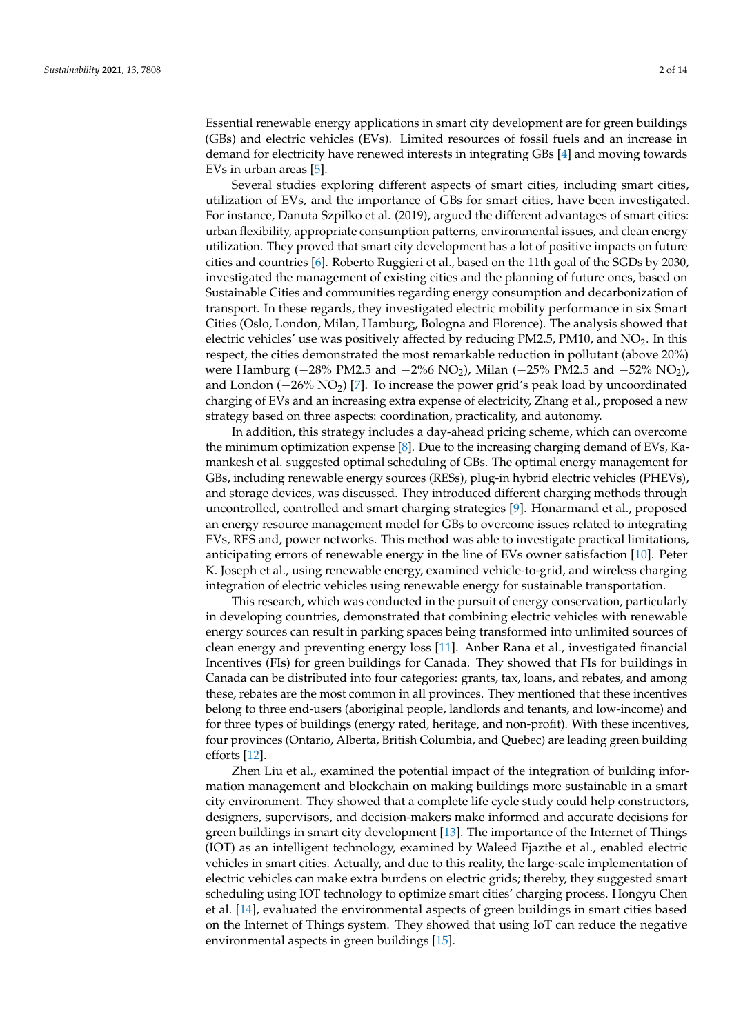Essential renewable energy applications in smart city development are for green buildings (GBs) and electric vehicles (EVs). Limited resources of fossil fuels and an increase in demand for electricity have renewed interests in integrating GBs [\[4\]](#page-10-3) and moving towards EVs in urban areas [\[5\]](#page-10-4).

Several studies exploring different aspects of smart cities, including smart cities, utilization of EVs, and the importance of GBs for smart cities, have been investigated. For instance, Danuta Szpilko et al. (2019), argued the different advantages of smart cities: urban flexibility, appropriate consumption patterns, environmental issues, and clean energy utilization. They proved that smart city development has a lot of positive impacts on future cities and countries [\[6\]](#page-10-5). Roberto Ruggieri et al., based on the 11th goal of the SGDs by 2030, investigated the management of existing cities and the planning of future ones, based on Sustainable Cities and communities regarding energy consumption and decarbonization of transport. In these regards, they investigated electric mobility performance in six Smart Cities (Oslo, London, Milan, Hamburg, Bologna and Florence). The analysis showed that electric vehicles' use was positively affected by reducing  $PM2.5$ ,  $PM10$ , and  $NO<sub>2</sub>$ . In this respect, the cities demonstrated the most remarkable reduction in pollutant (above 20%) were Hamburg (−28% PM2.5 and −2%6 NO2), Milan (−25% PM2.5 and −52% NO2), and London (−26% NO2) [\[7\]](#page-10-6). To increase the power grid's peak load by uncoordinated charging of EVs and an increasing extra expense of electricity, Zhang et al., proposed a new strategy based on three aspects: coordination, practicality, and autonomy.

In addition, this strategy includes a day-ahead pricing scheme, which can overcome the minimum optimization expense [\[8\]](#page-10-7). Due to the increasing charging demand of EVs, Kamankesh et al. suggested optimal scheduling of GBs. The optimal energy management for GBs, including renewable energy sources (RESs), plug-in hybrid electric vehicles (PHEVs), and storage devices, was discussed. They introduced different charging methods through uncontrolled, controlled and smart charging strategies [\[9\]](#page-10-8). Honarmand et al., proposed an energy resource management model for GBs to overcome issues related to integrating EVs, RES and, power networks. This method was able to investigate practical limitations, anticipating errors of renewable energy in the line of EVs owner satisfaction [\[10\]](#page-10-9). Peter K. Joseph et al., using renewable energy, examined vehicle-to-grid, and wireless charging integration of electric vehicles using renewable energy for sustainable transportation.

This research, which was conducted in the pursuit of energy conservation, particularly in developing countries, demonstrated that combining electric vehicles with renewable energy sources can result in parking spaces being transformed into unlimited sources of clean energy and preventing energy loss [\[11\]](#page-10-10). Anber Rana et al., investigated financial Incentives (FIs) for green buildings for Canada. They showed that FIs for buildings in Canada can be distributed into four categories: grants, tax, loans, and rebates, and among these, rebates are the most common in all provinces. They mentioned that these incentives belong to three end-users (aboriginal people, landlords and tenants, and low-income) and for three types of buildings (energy rated, heritage, and non-profit). With these incentives, four provinces (Ontario, Alberta, British Columbia, and Quebec) are leading green building efforts [\[12\]](#page-10-11).

Zhen Liu et al., examined the potential impact of the integration of building information management and blockchain on making buildings more sustainable in a smart city environment. They showed that a complete life cycle study could help constructors, designers, supervisors, and decision-makers make informed and accurate decisions for green buildings in smart city development [\[13\]](#page-10-12). The importance of the Internet of Things (IOT) as an intelligent technology, examined by Waleed Ejazthe et al., enabled electric vehicles in smart cities. Actually, and due to this reality, the large-scale implementation of electric vehicles can make extra burdens on electric grids; thereby, they suggested smart scheduling using IOT technology to optimize smart cities' charging process. Hongyu Chen et al. [\[14\]](#page-10-13), evaluated the environmental aspects of green buildings in smart cities based on the Internet of Things system. They showed that using IoT can reduce the negative environmental aspects in green buildings [\[15\]](#page-10-14).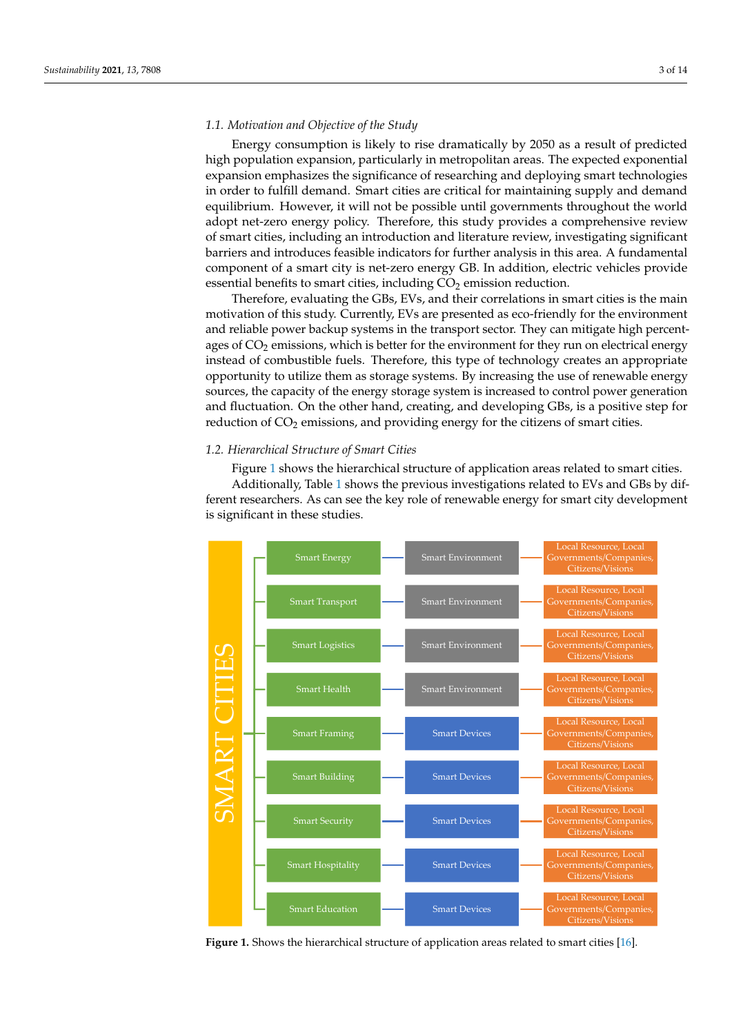#### *1.1. Motivation and Objective of the Study* librium. However, it will not be possible until governments throughout the world adopt

Energy consumption is likely to rise dramatically by 2050 as a result of predicted Encry consumption is incry to rise dramatically by 2000 as a result of predicted<br>high population expansion, particularly in metropolitan areas. The expected exponential expansion emphasizes the significance of researching and deploying smart technologies in order to fulfill demand. Smart cities are critical for maintaining supply and demand equilibrium. However, it will not be possible until governments throughout the world<br>a dant net zero, energy neligy. Therefore, this study nearides a semme hensive grainw adopt net-zero energy policy. Therefore, this study provides a comprehensive review of smart cities, including an introduction and literature review, investigating significant barriers and introduces feasible indicators for further analysis in this area. A fundamental component of a smart city is net-zero energy GB. In addition, electric vehicles provide essential benefits to smart cities, including  $CO<sub>2</sub>$  emission reduction. net-zero energy policy. Therefore, therefore, therefore, therefore, the smart review of smart review of smart review of smart review of smart review of smart review of smart review of smart review of smart review of smart

that benefits to smart ches, including  $CO<sub>2</sub>$  emission reduction.<br>Therefore, evaluating the GBs, EVs, and their correlations in smart cities is the main motivation of this study. Currently, EVs are presented as eco-friendly for the environment and reliable power backup systems in the transport sector. They can mitigate high percentages of  $CO<sub>2</sub>$  emissions, which is better for the environment for they run on electrical energy instead of combustible fuels. Therefore, this type of technology creates an appropriate more and or complastible racis. Therefore, and type or technology elements an appropriate opportunity to utilize them as storage systems. By increasing the use of renewable energy sources, the capacity of the energy storage system is increased to control power generation and fluctuation. On the other hand, creating, and developing GBs, is a positive step for reduction of  $CO_2$  emissions, and providing energy for the citizens of smart cities.

# 1.2. Hierarchical Structure of Smart Cities

Figure 1 shows the hierarchical structure of application areas related to smart cities. Additionally, Table [1](#page-3-0) shows the previous investigations related to EVs and GBs by dif-Additionally, Table 1 shows the previous investigations related to E vs and Gbs by different researchers. As can see the key role of renewable energy for smart city development is significant in these studies. ment is significant in these studies.

<span id="page-2-0"></span>

Figure 1. Shows the hierarchical structure of application areas related to smart cities [\[16\]](#page-10-15).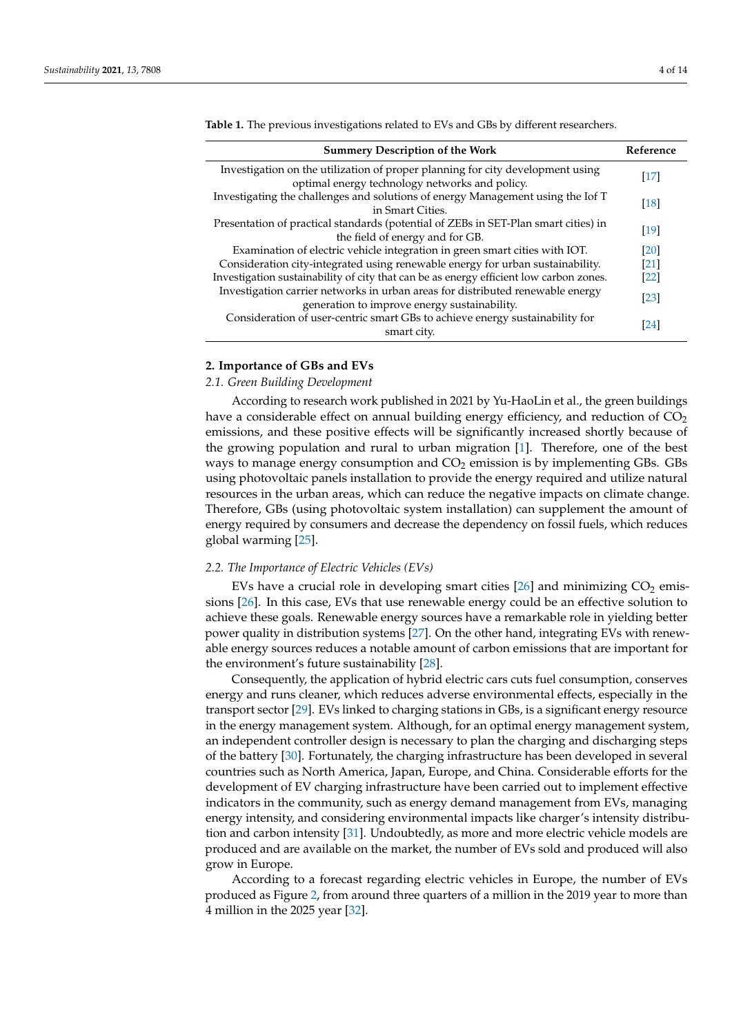| <b>Summery Description of the Work</b>                                                                                           | Reference          |
|----------------------------------------------------------------------------------------------------------------------------------|--------------------|
| Investigation on the utilization of proper planning for city development using<br>optimal energy technology networks and policy. | $[17]$             |
| Investigating the challenges and solutions of energy Management using the Iof T<br>in Smart Cities.                              | $\lceil 18 \rceil$ |
| Presentation of practical standards (potential of ZEBs in SET-Plan smart cities) in<br>the field of energy and for GB.           | $\lceil 19 \rceil$ |
| Examination of electric vehicle integration in green smart cities with IOT.                                                      | [20]               |
| Consideration city-integrated using renewable energy for urban sustainability.                                                   | [21]               |
| Investigation sustainability of city that can be as energy efficient low carbon zones.                                           | [22]               |
| Investigation carrier networks in urban areas for distributed renewable energy<br>generation to improve energy sustainability.   | [23]               |
| Consideration of user-centric smart GBs to achieve energy sustainability for<br>smart city.                                      | [24]               |

<span id="page-3-0"></span>**Table 1.** The previous investigations related to EVs and GBs by different researchers.

# **2. Importance of GBs and EVs**

## *2.1. Green Building Development*

According to research work published in 2021 by Yu-HaoLin et al., the green buildings have a considerable effect on annual building energy efficiency, and reduction of  $CO<sub>2</sub>$ emissions, and these positive effects will be significantly increased shortly because of the growing population and rural to urban migration [\[1\]](#page-10-0). Therefore, one of the best ways to manage energy consumption and  $CO<sub>2</sub>$  emission is by implementing GBs. GBs using photovoltaic panels installation to provide the energy required and utilize natural resources in the urban areas, which can reduce the negative impacts on climate change. Therefore, GBs (using photovoltaic system installation) can supplement the amount of energy required by consumers and decrease the dependency on fossil fuels, which reduces global warming [\[25\]](#page-10-24).

#### *2.2. The Importance of Electric Vehicles (EVs)*

EVs have a crucial role in developing smart cities  $[26]$  and minimizing  $CO<sub>2</sub>$  emissions [\[26\]](#page-10-25). In this case, EVs that use renewable energy could be an effective solution to achieve these goals. Renewable energy sources have a remarkable role in yielding better power quality in distribution systems [\[27\]](#page-11-0). On the other hand, integrating EVs with renewable energy sources reduces a notable amount of carbon emissions that are important for the environment's future sustainability [\[28\]](#page-11-1).

Consequently, the application of hybrid electric cars cuts fuel consumption, conserves energy and runs cleaner, which reduces adverse environmental effects, especially in the transport sector [\[29\]](#page-11-2). EVs linked to charging stations in GBs, is a significant energy resource in the energy management system. Although, for an optimal energy management system, an independent controller design is necessary to plan the charging and discharging steps of the battery [\[30\]](#page-11-3). Fortunately, the charging infrastructure has been developed in several countries such as North America, Japan, Europe, and China. Considerable efforts for the development of EV charging infrastructure have been carried out to implement effective indicators in the community, such as energy demand management from EVs, managing energy intensity, and considering environmental impacts like charger's intensity distribution and carbon intensity [\[31\]](#page-11-4). Undoubtedly, as more and more electric vehicle models are produced and are available on the market, the number of EVs sold and produced will also grow in Europe.

According to a forecast regarding electric vehicles in Europe, the number of EVs produced as Figure [2,](#page-4-0) from around three quarters of a million in the 2019 year to more than 4 million in the 2025 year [\[32\]](#page-11-5).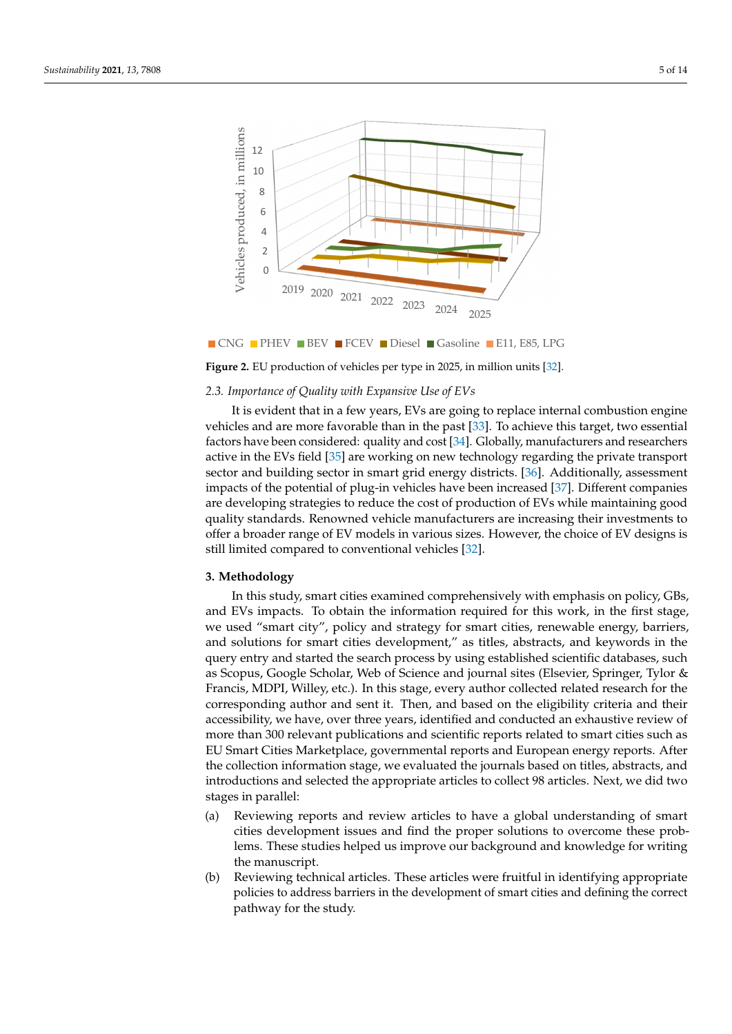<span id="page-4-0"></span>

■ CNG ■ PHEV ■ BEV ■ FCEV ■ Diesel ■ Gasoline ■ E11, E85, LPG

**Figure 2.** EU production of vehicles per type in 2025, in million units [\[32\]](#page-11-5).

#### *2.3. Importance of Quality with Expansive Use of EVs*

**Figure 2.** EU production of vehicles per type in 2025, in million units [32].

It is evident that in a few years, EVs are going to replace internal combustion engine vehicles and are more favorable than in the past  $[33]$ . To achieve this target, two essential factors have been considered: quality and cost [\[34\]](#page-11-7). Globally, manufacturers and researchers active in the EVs field [\[35\]](#page-11-8) are working on new technology regarding the private transport sector and building sector in smart grid energy districts. [\[36\]](#page-11-9). Additionally, assessment impacts of the potential of plug-in vehicles have been increased [\[37\]](#page-11-10). Different companies are developing strategies to reduce the cost of production of EVs while maintaining good quality standards. Renowned vehicle manufacturers are increasing their investments to offer a broader range of EV models in various sizes. However, the choice of EV designs is still limited compared to conventional vehicles [\[32\]](#page-11-5).

#### $2$  Methodology **3. Methodology**

million in the 2025 years and 2025 years and 2025 years and 2025 years of

**3. Methodology**  In this study, smart cities examined comprehensively with emphasis on policy, GBs, and EVS impacts. To stain the information required for this work, in the first stage, we used "smart city", policy and strategy for smart cities, renewable energy, barriers, and solutions for smart cities development," as titles, abstracts, and keywords in the first stage, we have first stage and solutions for smart cities development," as titles, abstracts, and keywords in the and sociations for smart cities development, the theo, distincted, and holy words in the solutions for smart cities development, and the contracts of the mass of the mass in the mass of the query sense entry and started the search process by using the search process by using the search process by using the search for the Francis, MDPI, Willey, etc.). In this stage, every author collected related research for the corresponding author and sent it. Then, and based on the eligibility criteria and their accessibility, we have, over three years, identified and conducted an exhaustive review of more than 300 relevant publications and scientific reports related to smart cities such as EU Smart Cities Marketplace, governmental reports and European energy reports. After the collection information stage, we evaluated the journals based on titles, abstracts, and introductions and selected the appropriate articles to collect 98 articles. Next, we did two collection in formation stages in parallel: and EVs impacts. To obtain the information required for this work, in the first stage,

- (a) Reviewing reports and review articles to have a global understanding of smart cities development issues and find the proper solutions to overcome these problems. These studies helped us improve our background and knowledge for writing the manuscript. The problems to overcome the problems to overcome the problems of the problems. The manuscript
	- (b) Reviewing technical articles. These articles were fruitful in identifying appropriate policies to address barriers in the development of smart cities and defining the correct pathway for the study.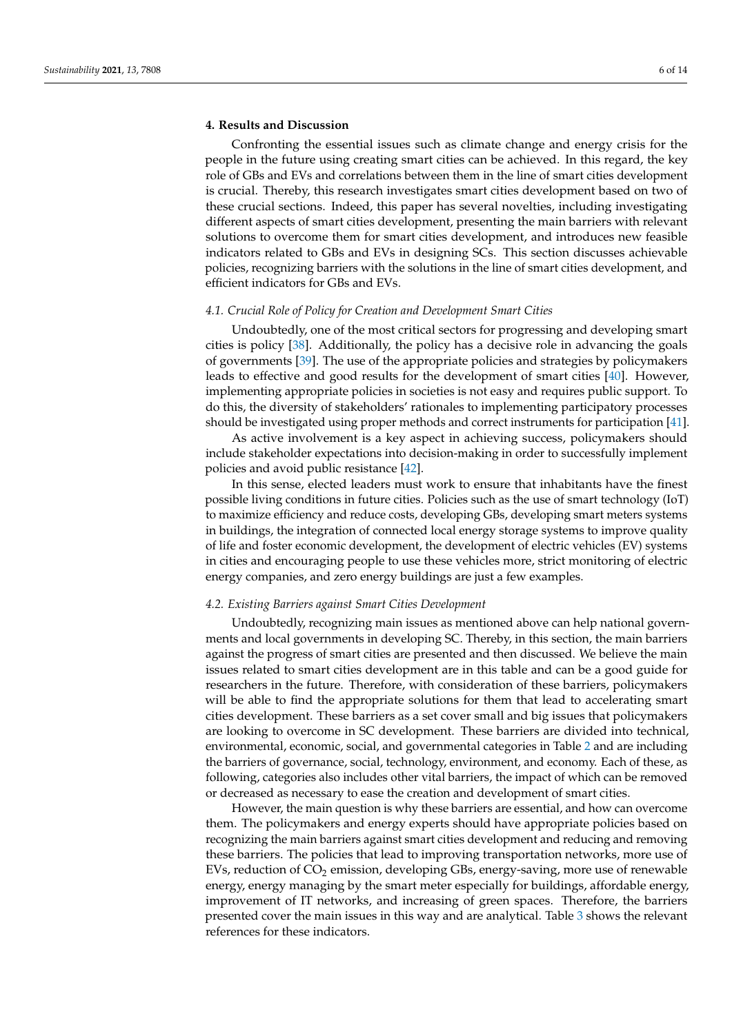## **4. Results and Discussion**

Confronting the essential issues such as climate change and energy crisis for the people in the future using creating smart cities can be achieved. In this regard, the key role of GBs and EVs and correlations between them in the line of smart cities development is crucial. Thereby, this research investigates smart cities development based on two of these crucial sections. Indeed, this paper has several novelties, including investigating different aspects of smart cities development, presenting the main barriers with relevant solutions to overcome them for smart cities development, and introduces new feasible indicators related to GBs and EVs in designing SCs. This section discusses achievable policies, recognizing barriers with the solutions in the line of smart cities development, and efficient indicators for GBs and EVs.

# *4.1. Crucial Role of Policy for Creation and Development Smart Cities*

Undoubtedly, one of the most critical sectors for progressing and developing smart cities is policy [\[38\]](#page-11-11). Additionally, the policy has a decisive role in advancing the goals of governments [\[39\]](#page-11-12). The use of the appropriate policies and strategies by policymakers leads to effective and good results for the development of smart cities [\[40\]](#page-11-13). However, implementing appropriate policies in societies is not easy and requires public support. To do this, the diversity of stakeholders' rationales to implementing participatory processes should be investigated using proper methods and correct instruments for participation [\[41\]](#page-11-14).

As active involvement is a key aspect in achieving success, policymakers should include stakeholder expectations into decision-making in order to successfully implement policies and avoid public resistance [\[42\]](#page-11-15).

In this sense, elected leaders must work to ensure that inhabitants have the finest possible living conditions in future cities. Policies such as the use of smart technology (IoT) to maximize efficiency and reduce costs, developing GBs, developing smart meters systems in buildings, the integration of connected local energy storage systems to improve quality of life and foster economic development, the development of electric vehicles (EV) systems in cities and encouraging people to use these vehicles more, strict monitoring of electric energy companies, and zero energy buildings are just a few examples.

#### *4.2. Existing Barriers against Smart Cities Development*

Undoubtedly, recognizing main issues as mentioned above can help national governments and local governments in developing SC. Thereby, in this section, the main barriers against the progress of smart cities are presented and then discussed. We believe the main issues related to smart cities development are in this table and can be a good guide for researchers in the future. Therefore, with consideration of these barriers, policymakers will be able to find the appropriate solutions for them that lead to accelerating smart cities development. These barriers as a set cover small and big issues that policymakers are looking to overcome in SC development. These barriers are divided into technical, environmental, economic, social, and governmental categories in Table [2](#page-6-0) and are including the barriers of governance, social, technology, environment, and economy. Each of these, as following, categories also includes other vital barriers, the impact of which can be removed or decreased as necessary to ease the creation and development of smart cities.

However, the main question is why these barriers are essential, and how can overcome them. The policymakers and energy experts should have appropriate policies based on recognizing the main barriers against smart cities development and reducing and removing these barriers. The policies that lead to improving transportation networks, more use of EVs, reduction of  $CO<sub>2</sub>$  emission, developing GBs, energy-saving, more use of renewable energy, energy managing by the smart meter especially for buildings, affordable energy, improvement of IT networks, and increasing of green spaces. Therefore, the barriers presented cover the main issues in this way and are analytical. Table [3](#page-6-1) shows the relevant references for these indicators.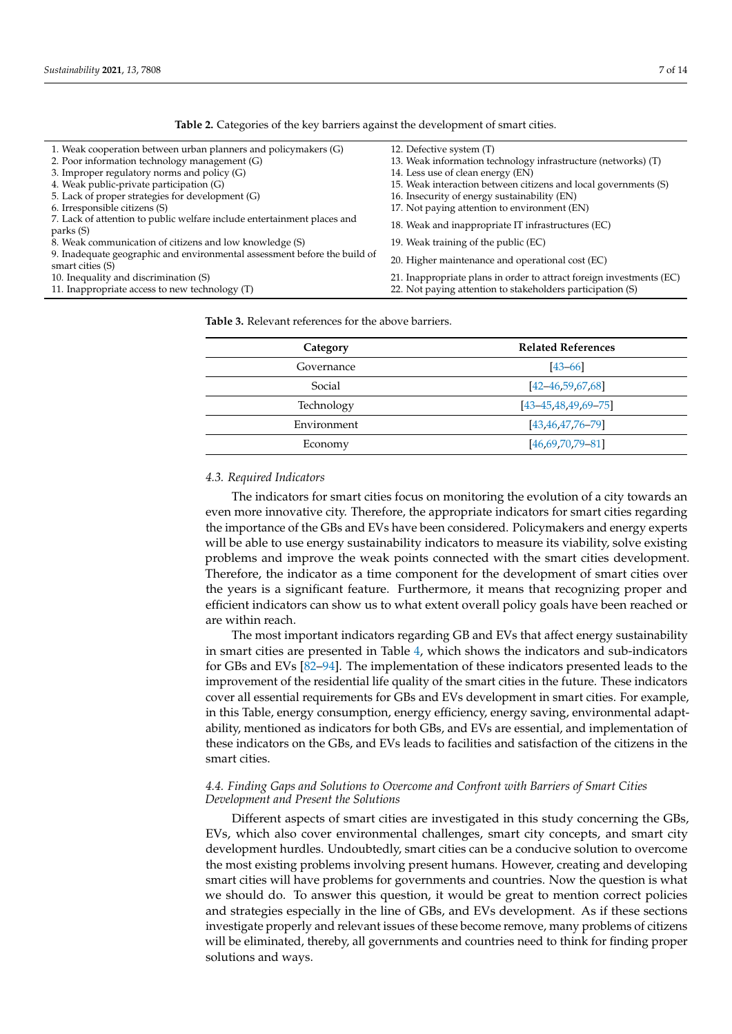<span id="page-6-0"></span>

| 1. Weak cooperation between urban planners and policymakers $(G)$                             | 12. Defective system (T)                                             |
|-----------------------------------------------------------------------------------------------|----------------------------------------------------------------------|
| 2. Poor information technology management (G)                                                 | 13. Weak information technology infrastructure (networks) (T)        |
| 3. Improper regulatory norms and policy (G)                                                   | 14. Less use of clean energy (EN)                                    |
| 4. Weak public-private participation (G)                                                      | 15. Weak interaction between citizens and local governments (S)      |
| 5. Lack of proper strategies for development (G)                                              | 16. Insecurity of energy sustainability (EN)                         |
| 6. Irresponsible citizens (S)                                                                 | 17. Not paying attention to environment (EN)                         |
| 7. Lack of attention to public welfare include entertainment places and<br>parks (S)          | 18. Weak and inappropriate IT infrastructures (EC)                   |
| 8. Weak communication of citizens and low knowledge (S)                                       | 19. Weak training of the public (EC)                                 |
| 9. Inadequate geographic and environmental assessment before the build of<br>smart cities (S) | 20. Higher maintenance and operational cost (EC)                     |
| 10. Inequality and discrimination (S)                                                         | 21. Inappropriate plans in order to attract foreign investments (EC) |
| 11. Inappropriate access to new technology (T)                                                | 22. Not paying attention to stakeholders participation (S)           |

**Table 2.** Categories of the key barriers against the development of smart cities.

<span id="page-6-1"></span>**Table 3.** Relevant references for the above barriers.

| Category    | <b>Related References</b>    |  |
|-------------|------------------------------|--|
| Governance  | $[43 - 66]$                  |  |
| Social      | $[42 - 46, 59, 67, 68]$      |  |
| Technology  | $[43 - 45, 48, 49, 69 - 75]$ |  |
| Environment | $[43, 46, 47, 76 - 79]$      |  |
| Economy     | $[46.69.70.79 - 81]$         |  |

#### *4.3. Required Indicators*

The indicators for smart cities focus on monitoring the evolution of a city towards an even more innovative city. Therefore, the appropriate indicators for smart cities regarding the importance of the GBs and EVs have been considered. Policymakers and energy experts will be able to use energy sustainability indicators to measure its viability, solve existing problems and improve the weak points connected with the smart cities development. Therefore, the indicator as a time component for the development of smart cities over the years is a significant feature. Furthermore, it means that recognizing proper and efficient indicators can show us to what extent overall policy goals have been reached or are within reach.

The most important indicators regarding GB and EVs that affect energy sustainability in smart cities are presented in Table [4,](#page-7-0) which shows the indicators and sub-indicators for GBs and EVs [\[82](#page-12-10)[–94\]](#page-13-0). The implementation of these indicators presented leads to the improvement of the residential life quality of the smart cities in the future. These indicators cover all essential requirements for GBs and EVs development in smart cities. For example, in this Table, energy consumption, energy efficiency, energy saving, environmental adaptability, mentioned as indicators for both GBs, and EVs are essential, and implementation of these indicators on the GBs, and EVs leads to facilities and satisfaction of the citizens in the smart cities.

## *4.4. Finding Gaps and Solutions to Overcome and Confront with Barriers of Smart Cities Development and Present the Solutions*

Different aspects of smart cities are investigated in this study concerning the GBs, EVs, which also cover environmental challenges, smart city concepts, and smart city development hurdles. Undoubtedly, smart cities can be a conducive solution to overcome the most existing problems involving present humans. However, creating and developing smart cities will have problems for governments and countries. Now the question is what we should do. To answer this question, it would be great to mention correct policies and strategies especially in the line of GBs, and EVs development. As if these sections investigate properly and relevant issues of these become remove, many problems of citizens will be eliminated, thereby, all governments and countries need to think for finding proper solutions and ways.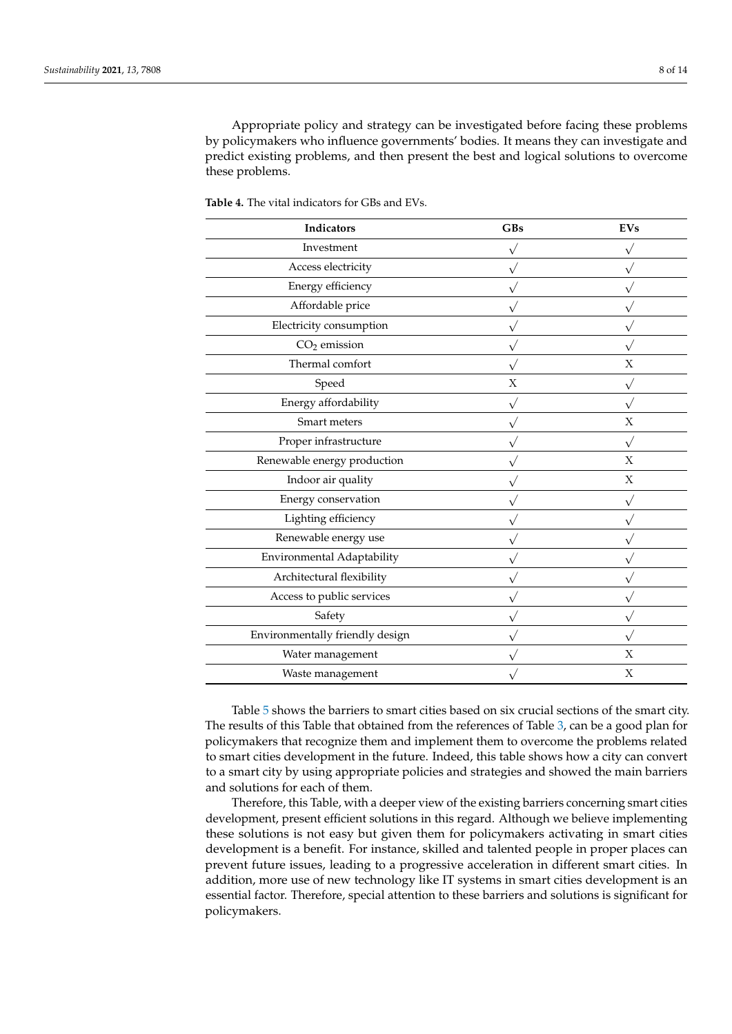Appropriate policy and strategy can be investigated before facing these problems by policymakers who influence governments' bodies. It means they can investigate and predict existing problems, and then present the best and logical solutions to overcome these problems.

| Indicators                      | GBs | <b>EVs</b>   |
|---------------------------------|-----|--------------|
| Investment                      |     |              |
| Access electricity              |     |              |
| Energy efficiency               |     |              |
| Affordable price                |     |              |
| Electricity consumption         |     |              |
| $CO2$ emission                  |     |              |
| Thermal comfort                 |     | X            |
| Speed                           | X   |              |
| Energy affordability            |     |              |
| Smart meters                    |     | $\mathbf X$  |
| Proper infrastructure           |     | $\sqrt{}$    |
| Renewable energy production     |     | $\mathbf{X}$ |
| Indoor air quality              |     | $\mathbf X$  |
| Energy conservation             |     |              |
| Lighting efficiency             |     |              |
| Renewable energy use            |     |              |
| Environmental Adaptability      |     |              |
| Architectural flexibility       |     |              |
| Access to public services       |     |              |
| Safety                          |     |              |
| Environmentally friendly design |     |              |
| Water management                |     | X            |
| Waste management                |     | X            |
|                                 |     |              |

<span id="page-7-0"></span>**Table 4.** The vital indicators for GBs and EVs.

Table [5](#page-8-0) shows the barriers to smart cities based on six crucial sections of the smart city. The results of this Table that obtained from the references of Table [3,](#page-6-1) can be a good plan for policymakers that recognize them and implement them to overcome the problems related to smart cities development in the future. Indeed, this table shows how a city can convert to a smart city by using appropriate policies and strategies and showed the main barriers and solutions for each of them.

Therefore, this Table, with a deeper view of the existing barriers concerning smart cities development, present efficient solutions in this regard. Although we believe implementing these solutions is not easy but given them for policymakers activating in smart cities development is a benefit. For instance, skilled and talented people in proper places can prevent future issues, leading to a progressive acceleration in different smart cities. In addition, more use of new technology like IT systems in smart cities development is an essential factor. Therefore, special attention to these barriers and solutions is significant for policymakers.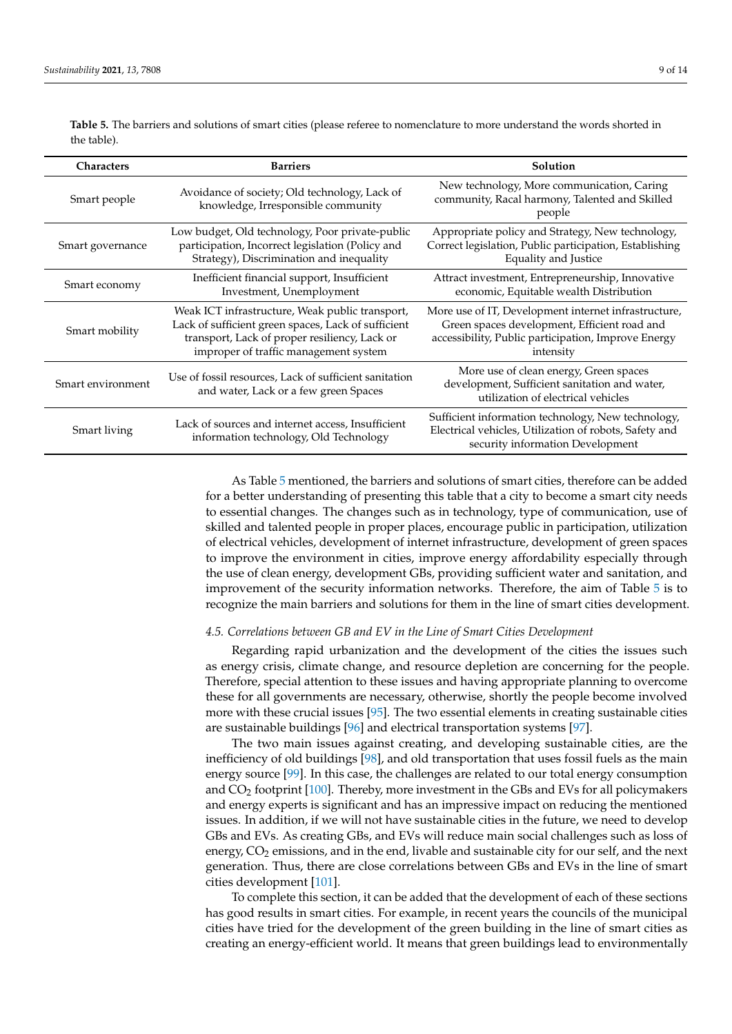| <b>Characters</b> | <b>Barriers</b>                                                                                                                                                                                  | Solution                                                                                                                                                                 |
|-------------------|--------------------------------------------------------------------------------------------------------------------------------------------------------------------------------------------------|--------------------------------------------------------------------------------------------------------------------------------------------------------------------------|
| Smart people      | Avoidance of society; Old technology, Lack of<br>knowledge, Irresponsible community                                                                                                              | New technology, More communication, Caring<br>community, Racal harmony, Talented and Skilled<br>people                                                                   |
| Smart governance  | Low budget, Old technology, Poor private-public<br>participation, Incorrect legislation (Policy and<br>Strategy), Discrimination and inequality                                                  | Appropriate policy and Strategy, New technology,<br>Correct legislation, Public participation, Establishing<br>Equality and Justice                                      |
| Smart economy     | Inefficient financial support, Insufficient<br>Investment, Unemployment                                                                                                                          | Attract investment, Entrepreneurship, Innovative<br>economic, Equitable wealth Distribution                                                                              |
| Smart mobility    | Weak ICT infrastructure, Weak public transport,<br>Lack of sufficient green spaces, Lack of sufficient<br>transport, Lack of proper resiliency, Lack or<br>improper of traffic management system | More use of IT, Development internet infrastructure,<br>Green spaces development, Efficient road and<br>accessibility, Public participation, Improve Energy<br>intensity |
| Smart environment | Use of fossil resources, Lack of sufficient sanitation<br>and water, Lack or a few green Spaces                                                                                                  | More use of clean energy, Green spaces<br>development, Sufficient sanitation and water,<br>utilization of electrical vehicles                                            |
| Smart living      | Lack of sources and internet access, Insufficient<br>information technology, Old Technology                                                                                                      | Sufficient information technology, New technology,<br>Electrical vehicles, Utilization of robots, Safety and<br>security information Development                         |

<span id="page-8-0"></span>**Table 5.** The barriers and solutions of smart cities (please referee to nomenclature to more understand the words shorted in the table).

> As Table [5](#page-8-0) mentioned, the barriers and solutions of smart cities, therefore can be added for a better understanding of presenting this table that a city to become a smart city needs to essential changes. The changes such as in technology, type of communication, use of skilled and talented people in proper places, encourage public in participation, utilization of electrical vehicles, development of internet infrastructure, development of green spaces to improve the environment in cities, improve energy affordability especially through the use of clean energy, development GBs, providing sufficient water and sanitation, and improvement of the security information networks. Therefore, the aim of Table [5](#page-8-0) is to recognize the main barriers and solutions for them in the line of smart cities development.

#### *4.5. Correlations between GB and EV in the Line of Smart Cities Development*

Regarding rapid urbanization and the development of the cities the issues such as energy crisis, climate change, and resource depletion are concerning for the people. Therefore, special attention to these issues and having appropriate planning to overcome these for all governments are necessary, otherwise, shortly the people become involved more with these crucial issues [\[95\]](#page-13-1). The two essential elements in creating sustainable cities are sustainable buildings [\[96\]](#page-13-2) and electrical transportation systems [\[97\]](#page-13-3).

The two main issues against creating, and developing sustainable cities, are the inefficiency of old buildings [\[98\]](#page-13-4), and old transportation that uses fossil fuels as the main energy source [\[99\]](#page-13-5). In this case, the challenges are related to our total energy consumption and  $CO<sub>2</sub>$  footprint [\[100\]](#page-13-6). Thereby, more investment in the GBs and EVs for all policymakers and energy experts is significant and has an impressive impact on reducing the mentioned issues. In addition, if we will not have sustainable cities in the future, we need to develop GBs and EVs. As creating GBs, and EVs will reduce main social challenges such as loss of energy, CO<sub>2</sub> emissions, and in the end, livable and sustainable city for our self, and the next generation. Thus, there are close correlations between GBs and EVs in the line of smart cities development [\[101\]](#page-13-7).

To complete this section, it can be added that the development of each of these sections has good results in smart cities. For example, in recent years the councils of the municipal cities have tried for the development of the green building in the line of smart cities as creating an energy-efficient world. It means that green buildings lead to environmentally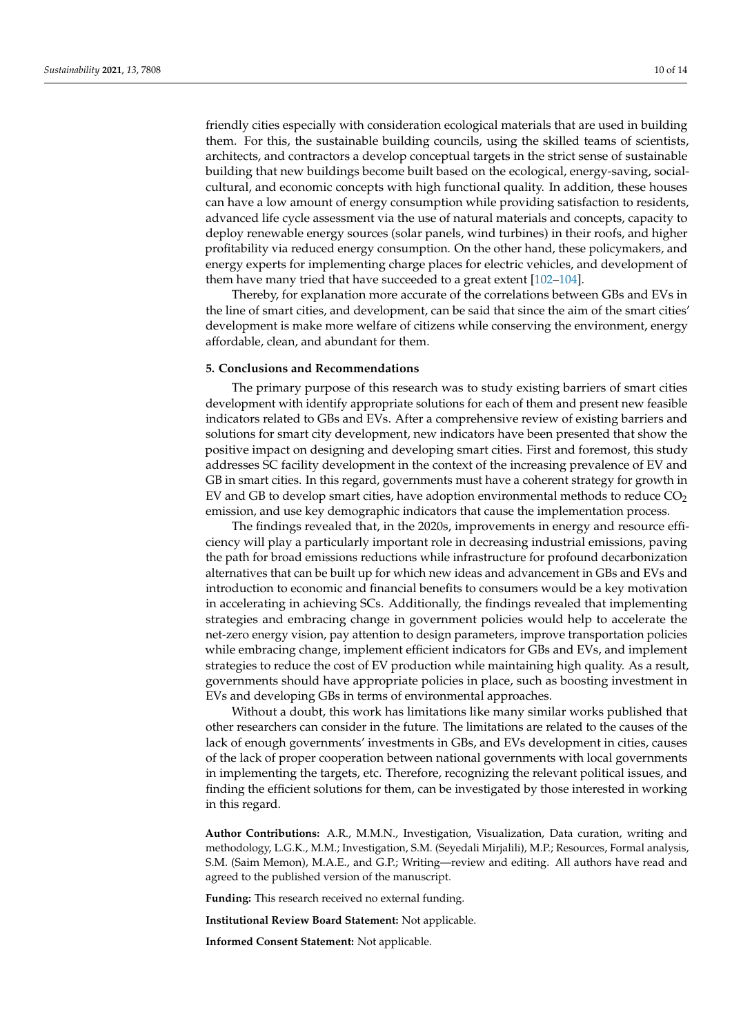friendly cities especially with consideration ecological materials that are used in building them. For this, the sustainable building councils, using the skilled teams of scientists, architects, and contractors a develop conceptual targets in the strict sense of sustainable building that new buildings become built based on the ecological, energy-saving, socialcultural, and economic concepts with high functional quality. In addition, these houses can have a low amount of energy consumption while providing satisfaction to residents, advanced life cycle assessment via the use of natural materials and concepts, capacity to deploy renewable energy sources (solar panels, wind turbines) in their roofs, and higher profitability via reduced energy consumption. On the other hand, these policymakers, and energy experts for implementing charge places for electric vehicles, and development of them have many tried that have succeeded to a great extent [\[102–](#page-13-8)[104\]](#page-13-9).

Thereby, for explanation more accurate of the correlations between GBs and EVs in the line of smart cities, and development, can be said that since the aim of the smart cities' development is make more welfare of citizens while conserving the environment, energy affordable, clean, and abundant for them.

## **5. Conclusions and Recommendations**

The primary purpose of this research was to study existing barriers of smart cities development with identify appropriate solutions for each of them and present new feasible indicators related to GBs and EVs. After a comprehensive review of existing barriers and solutions for smart city development, new indicators have been presented that show the positive impact on designing and developing smart cities. First and foremost, this study addresses SC facility development in the context of the increasing prevalence of EV and GB in smart cities. In this regard, governments must have a coherent strategy for growth in EV and GB to develop smart cities, have adoption environmental methods to reduce  $CO<sub>2</sub>$ emission, and use key demographic indicators that cause the implementation process.

The findings revealed that, in the 2020s, improvements in energy and resource efficiency will play a particularly important role in decreasing industrial emissions, paving the path for broad emissions reductions while infrastructure for profound decarbonization alternatives that can be built up for which new ideas and advancement in GBs and EVs and introduction to economic and financial benefits to consumers would be a key motivation in accelerating in achieving SCs. Additionally, the findings revealed that implementing strategies and embracing change in government policies would help to accelerate the net-zero energy vision, pay attention to design parameters, improve transportation policies while embracing change, implement efficient indicators for GBs and EVs, and implement strategies to reduce the cost of EV production while maintaining high quality. As a result, governments should have appropriate policies in place, such as boosting investment in EVs and developing GBs in terms of environmental approaches.

Without a doubt, this work has limitations like many similar works published that other researchers can consider in the future. The limitations are related to the causes of the lack of enough governments' investments in GBs, and EVs development in cities, causes of the lack of proper cooperation between national governments with local governments in implementing the targets, etc. Therefore, recognizing the relevant political issues, and finding the efficient solutions for them, can be investigated by those interested in working in this regard.

**Author Contributions:** A.R., M.M.N., Investigation, Visualization, Data curation, writing and methodology, L.G.K., M.M.; Investigation, S.M. (Seyedali Mirjalili), M.P.; Resources, Formal analysis, S.M. (Saim Memon), M.A.E., and G.P.; Writing—review and editing. All authors have read and agreed to the published version of the manuscript.

**Funding:** This research received no external funding.

**Institutional Review Board Statement:** Not applicable.

**Informed Consent Statement:** Not applicable.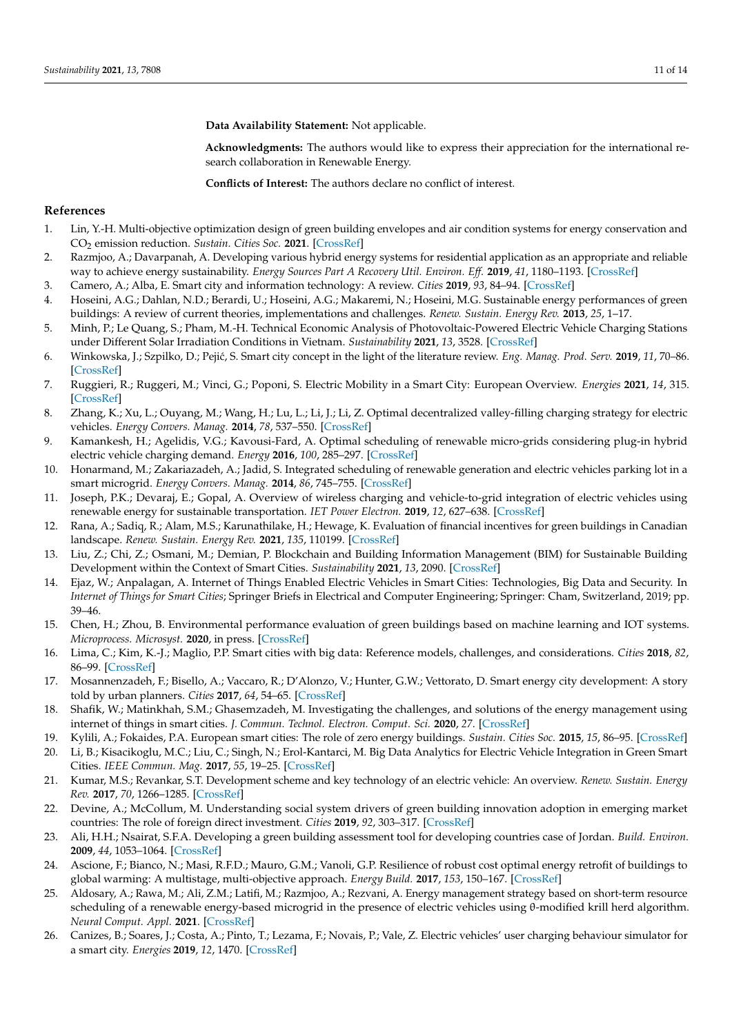**Data Availability Statement:** Not applicable.

**Acknowledgments:** The authors would like to express their appreciation for the international research collaboration in Renewable Energy.

**Conflicts of Interest:** The authors declare no conflict of interest.

#### **References**

- <span id="page-10-0"></span>1. Lin, Y.-H. Multi-objective optimization design of green building envelopes and air condition systems for energy conservation and CO<sup>2</sup> emission reduction. *Sustain. Cities Soc.* **2021**. [\[CrossRef\]](http://doi.org/10.1016/j.scs.2020.102555)
- <span id="page-10-1"></span>2. Razmjoo, A.; Davarpanah, A. Developing various hybrid energy systems for residential application as an appropriate and reliable way to achieve energy sustainability. *Energy Sources Part A Recovery Util. Environ. Eff.* **2019**, *41*, 1180–1193. [\[CrossRef\]](http://doi.org/10.1080/15567036.2018.1544996)
- <span id="page-10-2"></span>3. Camero, A.; Alba, E. Smart city and information technology: A review. *Cities* **2019**, *93*, 84–94. [\[CrossRef\]](http://doi.org/10.1016/j.cities.2019.04.014)
- <span id="page-10-3"></span>4. Hoseini, A.G.; Dahlan, N.D.; Berardi, U.; Hoseini, A.G.; Makaremi, N.; Hoseini, M.G. Sustainable energy performances of green buildings: A review of current theories, implementations and challenges. *Renew. Sustain. Energy Rev.* **2013**, *25*, 1–17.
- <span id="page-10-4"></span>5. Minh, P.; Le Quang, S.; Pham, M.-H. Technical Economic Analysis of Photovoltaic-Powered Electric Vehicle Charging Stations under Different Solar Irradiation Conditions in Vietnam. *Sustainability* **2021**, *13*, 3528. [\[CrossRef\]](http://doi.org/10.3390/su13063528)
- <span id="page-10-5"></span>6. Winkowska, J.; Szpilko, D.; Peji´c, S. Smart city concept in the light of the literature review. *Eng. Manag. Prod. Serv.* **2019**, *11*, 70–86. [\[CrossRef\]](http://doi.org/10.2478/emj-2019-0012)
- <span id="page-10-6"></span>7. Ruggieri, R.; Ruggeri, M.; Vinci, G.; Poponi, S. Electric Mobility in a Smart City: European Overview. *Energies* **2021**, *14*, 315. [\[CrossRef\]](http://doi.org/10.3390/en14020315)
- <span id="page-10-7"></span>8. Zhang, K.; Xu, L.; Ouyang, M.; Wang, H.; Lu, L.; Li, J.; Li, Z. Optimal decentralized valley-filling charging strategy for electric vehicles. *Energy Convers. Manag.* **2014**, *78*, 537–550. [\[CrossRef\]](http://doi.org/10.1016/j.enconman.2013.11.011)
- <span id="page-10-8"></span>9. Kamankesh, H.; Agelidis, V.G.; Kavousi-Fard, A. Optimal scheduling of renewable micro-grids considering plug-in hybrid electric vehicle charging demand. *Energy* **2016**, *100*, 285–297. [\[CrossRef\]](http://doi.org/10.1016/j.energy.2016.01.063)
- <span id="page-10-9"></span>10. Honarmand, M.; Zakariazadeh, A.; Jadid, S. Integrated scheduling of renewable generation and electric vehicles parking lot in a smart microgrid. *Energy Convers. Manag.* **2014**, *86*, 745–755. [\[CrossRef\]](http://doi.org/10.1016/j.enconman.2014.06.044)
- <span id="page-10-10"></span>11. Joseph, P.K.; Devaraj, E.; Gopal, A. Overview of wireless charging and vehicle-to-grid integration of electric vehicles using renewable energy for sustainable transportation. *IET Power Electron.* **2019**, *12*, 627–638. [\[CrossRef\]](http://doi.org/10.1049/iet-pel.2018.5127)
- <span id="page-10-11"></span>12. Rana, A.; Sadiq, R.; Alam, M.S.; Karunathilake, H.; Hewage, K. Evaluation of financial incentives for green buildings in Canadian landscape. *Renew. Sustain. Energy Rev.* **2021**, *135*, 110199. [\[CrossRef\]](http://doi.org/10.1016/j.rser.2020.110199)
- <span id="page-10-12"></span>13. Liu, Z.; Chi, Z.; Osmani, M.; Demian, P. Blockchain and Building Information Management (BIM) for Sustainable Building Development within the Context of Smart Cities. *Sustainability* **2021**, *13*, 2090. [\[CrossRef\]](http://doi.org/10.3390/su13042090)
- <span id="page-10-13"></span>14. Ejaz, W.; Anpalagan, A. Internet of Things Enabled Electric Vehicles in Smart Cities: Technologies, Big Data and Security. In *Internet of Things for Smart Cities*; Springer Briefs in Electrical and Computer Engineering; Springer: Cham, Switzerland, 2019; pp. 39–46.
- <span id="page-10-14"></span>15. Chen, H.; Zhou, B. Environmental performance evaluation of green buildings based on machine learning and IOT systems. *Microprocess. Microsyst.* **2020**, in press. [\[CrossRef\]](http://doi.org/10.1016/j.micpro.2020.103496)
- <span id="page-10-15"></span>16. Lima, C.; Kim, K.-J.; Maglio, P.P. Smart cities with big data: Reference models, challenges, and considerations. *Cities* **2018**, *82*, 86–99. [\[CrossRef\]](http://doi.org/10.1016/j.cities.2018.04.011)
- <span id="page-10-16"></span>17. Mosannenzadeh, F.; Bisello, A.; Vaccaro, R.; D'Alonzo, V.; Hunter, G.W.; Vettorato, D. Smart energy city development: A story told by urban planners. *Cities* **2017**, *64*, 54–65. [\[CrossRef\]](http://doi.org/10.1016/j.cities.2017.02.001)
- <span id="page-10-17"></span>18. Shafik, W.; Matinkhah, S.M.; Ghasemzadeh, M. Investigating the challenges, and solutions of the energy management using internet of things in smart cities. *J. Commun. Technol. Electron. Comput. Sci.* **2020**, *27*. [\[CrossRef\]](http://doi.org/10.22385/jctecs.v27i0.302)
- <span id="page-10-18"></span>19. Kylili, A.; Fokaides, P.A. European smart cities: The role of zero energy buildings. *Sustain. Cities Soc.* **2015**, *15*, 86–95. [\[CrossRef\]](http://doi.org/10.1016/j.scs.2014.12.003)
- <span id="page-10-19"></span>20. Li, B.; Kisacikoglu, M.C.; Liu, C.; Singh, N.; Erol-Kantarci, M. Big Data Analytics for Electric Vehicle Integration in Green Smart Cities. *IEEE Commun. Mag.* **2017**, *55*, 19–25. [\[CrossRef\]](http://doi.org/10.1109/MCOM.2017.1700133)
- <span id="page-10-20"></span>21. Kumar, M.S.; Revankar, S.T. Development scheme and key technology of an electric vehicle: An overview. *Renew. Sustain. Energy Rev.* **2017**, *70*, 1266–1285. [\[CrossRef\]](http://doi.org/10.1016/j.rser.2016.12.027)
- <span id="page-10-21"></span>22. Devine, A.; McCollum, M. Understanding social system drivers of green building innovation adoption in emerging market countries: The role of foreign direct investment. *Cities* **2019**, *92*, 303–317. [\[CrossRef\]](http://doi.org/10.1016/j.cities.2019.03.005)
- <span id="page-10-22"></span>23. Ali, H.H.; Nsairat, S.F.A. Developing a green building assessment tool for developing countries case of Jordan. *Build. Environ.* **2009**, *44*, 1053–1064. [\[CrossRef\]](http://doi.org/10.1016/j.buildenv.2008.07.015)
- <span id="page-10-23"></span>24. Ascione, F.; Bianco, N.; Masi, R.F.D.; Mauro, G.M.; Vanoli, G.P. Resilience of robust cost optimal energy retrofit of buildings to global warming: A multistage, multi-objective approach. *Energy Build.* **2017**, *153*, 150–167. [\[CrossRef\]](http://doi.org/10.1016/j.enbuild.2017.08.004)
- <span id="page-10-24"></span>25. Aldosary, A.; Rawa, M.; Ali, Z.M.; Latifi, M.; Razmjoo, A.; Rezvani, A. Energy management strategy based on short-term resource scheduling of a renewable energy-based microgrid in the presence of electric vehicles using θ-modified krill herd algorithm. *Neural Comput. Appl.* **2021**. [\[CrossRef\]](http://doi.org/10.1007/s00521-021-05768-3)
- <span id="page-10-25"></span>26. Canizes, B.; Soares, J.; Costa, A.; Pinto, T.; Lezama, F.; Novais, P.; Vale, Z. Electric vehicles' user charging behaviour simulator for a smart city. *Energies* **2019**, *12*, 1470. [\[CrossRef\]](http://doi.org/10.3390/en12081470)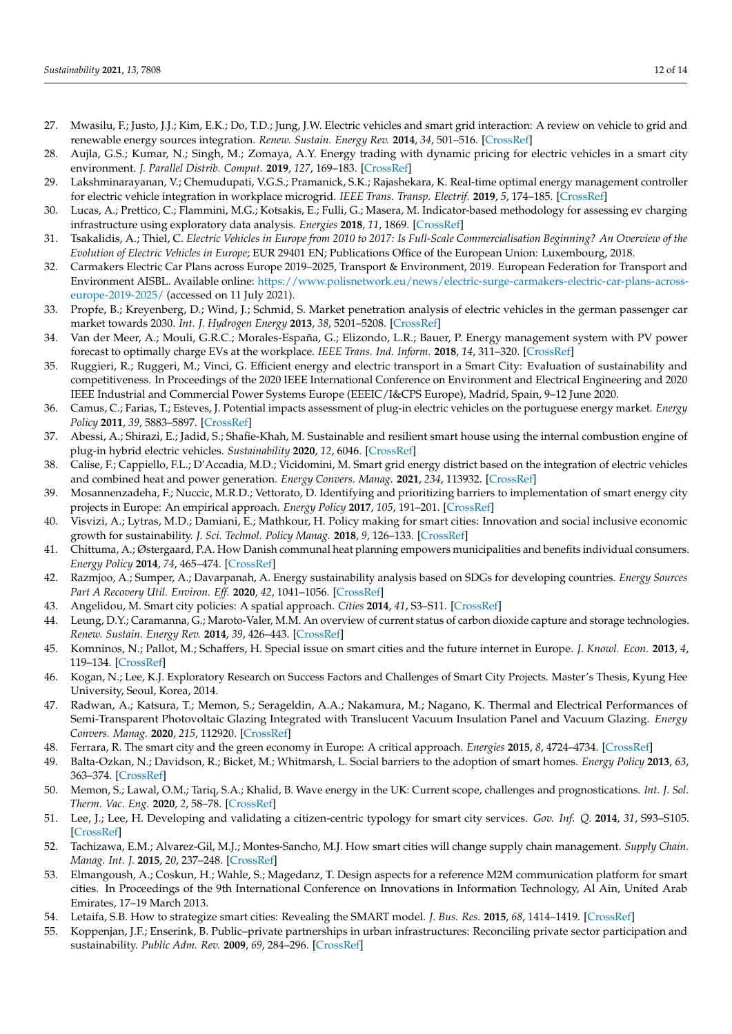- <span id="page-11-0"></span>27. Mwasilu, F.; Justo, J.J.; Kim, E.K.; Do, T.D.; Jung, J.W. Electric vehicles and smart grid interaction: A review on vehicle to grid and renewable energy sources integration. *Renew. Sustain. Energy Rev.* **2014**, *34*, 501–516. [\[CrossRef\]](http://doi.org/10.1016/j.rser.2014.03.031)
- <span id="page-11-1"></span>28. Aujla, G.S.; Kumar, N.; Singh, M.; Zomaya, A.Y. Energy trading with dynamic pricing for electric vehicles in a smart city environment. *J. Parallel Distrib. Comput.* **2019**, *127*, 169–183. [\[CrossRef\]](http://doi.org/10.1016/j.jpdc.2018.06.010)
- <span id="page-11-2"></span>29. Lakshminarayanan, V.; Chemudupati, V.G.S.; Pramanick, S.K.; Rajashekara, K. Real-time optimal energy management controller for electric vehicle integration in workplace microgrid. *IEEE Trans. Transp. Electrif.* **2019**, *5*, 174–185. [\[CrossRef\]](http://doi.org/10.1109/TTE.2018.2869469)
- <span id="page-11-3"></span>30. Lucas, A.; Prettico, C.; Flammini, M.G.; Kotsakis, E.; Fulli, G.; Masera, M. Indicator-based methodology for assessing ev charging infrastructure using exploratory data analysis. *Energies* **2018**, *11*, 1869. [\[CrossRef\]](http://doi.org/10.3390/en11071869)
- <span id="page-11-4"></span>31. Tsakalidis, A.; Thiel, C. *Electric Vehicles in Europe from 2010 to 2017: Is Full-Scale Commercialisation Beginning? An Overview of the Evolution of Electric Vehicles in Europe*; EUR 29401 EN; Publications Office of the European Union: Luxembourg, 2018.
- <span id="page-11-5"></span>32. Carmakers Electric Car Plans across Europe 2019–2025, Transport & Environment, 2019. European Federation for Transport and Environment AISBL. Available online: [https://www.polisnetwork.eu/news/electric-surge-carmakers-electric-car-plans-across](https://www.polisnetwork.eu/news/electric-surge-carmakers-electric-car-plans-across-europe-2019-2025/)[europe-2019-2025/](https://www.polisnetwork.eu/news/electric-surge-carmakers-electric-car-plans-across-europe-2019-2025/) (accessed on 11 July 2021).
- <span id="page-11-6"></span>33. Propfe, B.; Kreyenberg, D.; Wind, J.; Schmid, S. Market penetration analysis of electric vehicles in the german passenger car market towards 2030. *Int. J. Hydrogen Energy* **2013**, *38*, 5201–5208. [\[CrossRef\]](http://doi.org/10.1016/j.ijhydene.2013.02.049)
- <span id="page-11-7"></span>34. Van der Meer, A.; Mouli, G.R.C.; Morales-España, G.; Elizondo, L.R.; Bauer, P. Energy management system with PV power forecast to optimally charge EVs at the workplace. *IEEE Trans. Ind. Inform.* **2018**, *14*, 311–320. [\[CrossRef\]](http://doi.org/10.1109/TII.2016.2634624)
- <span id="page-11-8"></span>35. Ruggieri, R.; Ruggeri, M.; Vinci, G. Efficient energy and electric transport in a Smart City: Evaluation of sustainability and competitiveness. In Proceedings of the 2020 IEEE International Conference on Environment and Electrical Engineering and 2020 IEEE Industrial and Commercial Power Systems Europe (EEEIC/I&CPS Europe), Madrid, Spain, 9–12 June 2020.
- <span id="page-11-9"></span>36. Camus, C.; Farias, T.; Esteves, J. Potential impacts assessment of plug-in electric vehicles on the portuguese energy market. *Energy Policy* **2011**, *39*, 5883–5897. [\[CrossRef\]](http://doi.org/10.1016/j.enpol.2011.06.042)
- <span id="page-11-10"></span>37. Abessi, A.; Shirazi, E.; Jadid, S.; Shafie-Khah, M. Sustainable and resilient smart house using the internal combustion engine of plug-in hybrid electric vehicles. *Sustainability* **2020**, *12*, 6046. [\[CrossRef\]](http://doi.org/10.3390/su12156046)
- <span id="page-11-11"></span>38. Calise, F.; Cappiello, F.L.; D'Accadia, M.D.; Vicidomini, M. Smart grid energy district based on the integration of electric vehicles and combined heat and power generation. *Energy Convers. Manag.* **2021**, *234*, 113932. [\[CrossRef\]](http://doi.org/10.1016/j.enconman.2021.113932)
- <span id="page-11-12"></span>39. Mosannenzadeha, F.; Nuccic, M.R.D.; Vettorato, D. Identifying and prioritizing barriers to implementation of smart energy city projects in Europe: An empirical approach. *Energy Policy* **2017**, *105*, 191–201. [\[CrossRef\]](http://doi.org/10.1016/j.enpol.2017.02.007)
- <span id="page-11-13"></span>40. Visvizi, A.; Lytras, M.D.; Damiani, E.; Mathkour, H. Policy making for smart cities: Innovation and social inclusive economic growth for sustainability. *J. Sci. Technol. Policy Manag.* **2018**, *9*, 126–133. [\[CrossRef\]](http://doi.org/10.1108/JSTPM-07-2018-079)
- <span id="page-11-14"></span>41. Chittuma, A.; Østergaard, P.A. How Danish communal heat planning empowers municipalities and benefits individual consumers. *Energy Policy* **2014**, *74*, 465–474. [\[CrossRef\]](http://doi.org/10.1016/j.enpol.2014.08.001)
- <span id="page-11-15"></span>42. Razmjoo, A.; Sumper, A.; Davarpanah, A. Energy sustainability analysis based on SDGs for developing countries. *Energy Sources Part A Recovery Util. Environ. Eff.* **2020**, *42*, 1041–1056. [\[CrossRef\]](http://doi.org/10.1080/15567036.2019.1602215)
- <span id="page-11-16"></span>43. Angelidou, M. Smart city policies: A spatial approach. *Cities* **2014**, *41*, S3–S11. [\[CrossRef\]](http://doi.org/10.1016/j.cities.2014.06.007)
- 44. Leung, D.Y.; Caramanna, G.; Maroto-Valer, M.M. An overview of current status of carbon dioxide capture and storage technologies. *Renew. Sustain. Energy Rev.* **2014**, *39*, 426–443. [\[CrossRef\]](http://doi.org/10.1016/j.rser.2014.07.093)
- <span id="page-11-18"></span>45. Komninos, N.; Pallot, M.; Schaffers, H. Special issue on smart cities and the future internet in Europe. *J. Knowl. Econ.* **2013**, *4*, 119–134. [\[CrossRef\]](http://doi.org/10.1007/s13132-012-0083-x)
- <span id="page-11-17"></span>46. Kogan, N.; Lee, K.J. Exploratory Research on Success Factors and Challenges of Smart City Projects. Master's Thesis, Kyung Hee University, Seoul, Korea, 2014.
- <span id="page-11-21"></span>47. Radwan, A.; Katsura, T.; Memon, S.; Serageldin, A.A.; Nakamura, M.; Nagano, K. Thermal and Electrical Performances of Semi-Transparent Photovoltaic Glazing Integrated with Translucent Vacuum Insulation Panel and Vacuum Glazing. *Energy Convers. Manag.* **2020**, *215*, 112920. [\[CrossRef\]](http://doi.org/10.1016/j.enconman.2020.112920)
- <span id="page-11-19"></span>48. Ferrara, R. The smart city and the green economy in Europe: A critical approach. *Energies* **2015**, *8*, 4724–4734. [\[CrossRef\]](http://doi.org/10.3390/en8064724)
- <span id="page-11-20"></span>49. Balta-Ozkan, N.; Davidson, R.; Bicket, M.; Whitmarsh, L. Social barriers to the adoption of smart homes. *Energy Policy* **2013**, *63*, 363–374. [\[CrossRef\]](http://doi.org/10.1016/j.enpol.2013.08.043)
- 50. Memon, S.; Lawal, O.M.; Tariq, S.A.; Khalid, B. Wave energy in the UK: Current scope, challenges and prognostications. *Int. J. Sol. Therm. Vac. Eng.* **2020**, *2*, 58–78. [\[CrossRef\]](http://doi.org/10.37934/stve.2.1.5978)
- 51. Lee, J.; Lee, H. Developing and validating a citizen-centric typology for smart city services. *Gov. Inf. Q.* **2014**, *31*, S93–S105. [\[CrossRef\]](http://doi.org/10.1016/j.giq.2014.01.010)
- 52. Tachizawa, E.M.; Alvarez-Gil, M.J.; Montes-Sancho, M.J. How smart cities will change supply chain management. *Supply Chain. Manag. Int. J.* **2015**, *20*, 237–248. [\[CrossRef\]](http://doi.org/10.1108/SCM-03-2014-0108)
- 53. Elmangoush, A.; Coskun, H.; Wahle, S.; Magedanz, T. Design aspects for a reference M2M communication platform for smart cities. In Proceedings of the 9th International Conference on Innovations in Information Technology, Al Ain, United Arab Emirates, 17–19 March 2013.
- 54. Letaifa, S.B. How to strategize smart cities: Revealing the SMART model. *J. Bus. Res.* **2015**, *68*, 1414–1419. [\[CrossRef\]](http://doi.org/10.1016/j.jbusres.2015.01.024)
- 55. Koppenjan, J.F.; Enserink, B. Public–private partnerships in urban infrastructures: Reconciling private sector participation and sustainability. *Public Adm. Rev.* **2009**, *69*, 284–296. [\[CrossRef\]](http://doi.org/10.1111/j.1540-6210.2008.01974.x)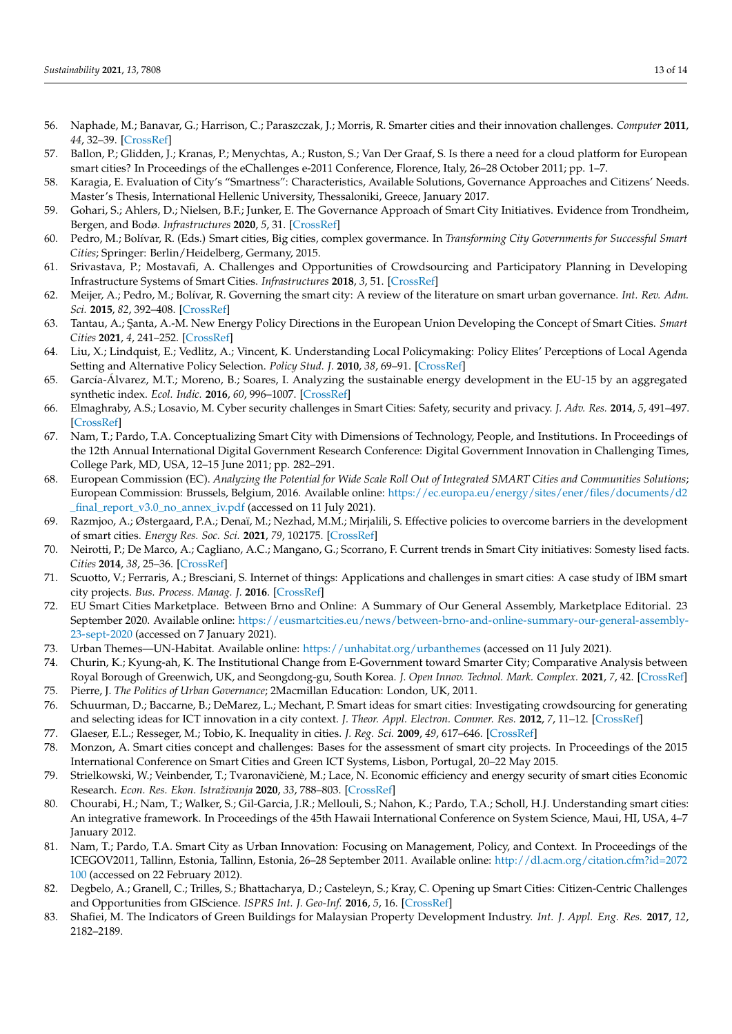- 56. Naphade, M.; Banavar, G.; Harrison, C.; Paraszczak, J.; Morris, R. Smarter cities and their innovation challenges. *Computer* **2011**, *44*, 32–39. [\[CrossRef\]](http://doi.org/10.1109/MC.2011.187)
- 57. Ballon, P.; Glidden, J.; Kranas, P.; Menychtas, A.; Ruston, S.; Van Der Graaf, S. Is there a need for a cloud platform for European smart cities? In Proceedings of the eChallenges e-2011 Conference, Florence, Italy, 26–28 October 2011; pp. 1–7.
- 58. Karagia, E. Evaluation of City's "Smartness": Characteristics, Available Solutions, Governance Approaches and Citizens' Needs. Master's Thesis, International Hellenic University, Thessaloniki, Greece, January 2017.
- <span id="page-12-1"></span>59. Gohari, S.; Ahlers, D.; Nielsen, B.F.; Junker, E. The Governance Approach of Smart City Initiatives. Evidence from Trondheim, Bergen, and Bodø. *Infrastructures* **2020**, *5*, 31. [\[CrossRef\]](http://doi.org/10.3390/infrastructures5040031)
- 60. Pedro, M.; Bolívar, R. (Eds.) Smart cities, Big cities, complex govermance. In *Transforming City Governments for Successful Smart Cities*; Springer: Berlin/Heidelberg, Germany, 2015.
- 61. Srivastava, P.; Mostavafi, A. Challenges and Opportunities of Crowdsourcing and Participatory Planning in Developing Infrastructure Systems of Smart Cities. *Infrastructures* **2018**, *3*, 51. [\[CrossRef\]](http://doi.org/10.3390/infrastructures3040051)
- 62. Meijer, A.; Pedro, M.; Bolívar, R. Governing the smart city: A review of the literature on smart urban governance. *Int. Rev. Adm. Sci.* **2015**, *82*, 392–408. [\[CrossRef\]](http://doi.org/10.1177/0020852314564308)
- 63. Tantau, A.; ¸Santa, A.-M. New Energy Policy Directions in the European Union Developing the Concept of Smart Cities. *Smart Cities* **2021**, *4*, 241–252. [\[CrossRef\]](http://doi.org/10.3390/smartcities4010015)
- 64. Liu, X.; Lindquist, E.; Vedlitz, A.; Vincent, K. Understanding Local Policymaking: Policy Elites' Perceptions of Local Agenda Setting and Alternative Policy Selection. *Policy Stud. J.* **2010**, *38*, 69–91. [\[CrossRef\]](http://doi.org/10.1111/j.1541-0072.2009.00345.x)
- 65. García-Álvarez, M.T.; Moreno, B.; Soares, I. Analyzing the sustainable energy development in the EU-15 by an aggregated synthetic index. *Ecol. Indic.* **2016**, *60*, 996–1007. [\[CrossRef\]](http://doi.org/10.1016/j.ecolind.2015.07.006)
- <span id="page-12-0"></span>66. Elmaghraby, A.S.; Losavio, M. Cyber security challenges in Smart Cities: Safety, security and privacy. *J. Adv. Res.* **2014**, *5*, 491–497. [\[CrossRef\]](http://doi.org/10.1016/j.jare.2014.02.006)
- <span id="page-12-2"></span>67. Nam, T.; Pardo, T.A. Conceptualizing Smart City with Dimensions of Technology, People, and Institutions. In Proceedings of the 12th Annual International Digital Government Research Conference: Digital Government Innovation in Challenging Times, College Park, MD, USA, 12–15 June 2011; pp. 282–291.
- <span id="page-12-3"></span>68. European Commission (EC). *Analyzing the Potential for Wide Scale Roll Out of Integrated SMART Cities and Communities Solutions*; European Commission: Brussels, Belgium, 2016. Available online: [https://ec.europa.eu/energy/sites/ener/files/documents/d2](https://ec.europa.eu/energy/sites/ener/files/documents/d2_final_report_v3.0_no_annex_iv.pdf) [\\_final\\_report\\_v3.0\\_no\\_annex\\_iv.pdf](https://ec.europa.eu/energy/sites/ener/files/documents/d2_final_report_v3.0_no_annex_iv.pdf) (accessed on 11 July 2021).
- <span id="page-12-4"></span>69. Razmjoo, A.; Østergaard, P.A.; Denaï, M.; Nezhad, M.M.; Mirjalili, S. Effective policies to overcome barriers in the development of smart cities. *Energy Res. Soc. Sci.* **2021**, *79*, 102175. [\[CrossRef\]](http://doi.org/10.1016/j.erss.2021.102175)
- <span id="page-12-8"></span>70. Neirotti, P.; De Marco, A.; Cagliano, A.C.; Mangano, G.; Scorrano, F. Current trends in Smart City initiatives: Somesty lised facts. *Cities* **2014**, *38*, 25–36. [\[CrossRef\]](http://doi.org/10.1016/j.cities.2013.12.010)
- 71. Scuotto, V.; Ferraris, A.; Bresciani, S. Internet of things: Applications and challenges in smart cities: A case study of IBM smart city projects. *Bus. Process. Manag. J.* **2016**. [\[CrossRef\]](http://doi.org/10.1108/BPMJ-05-2015-0074)
- 72. EU Smart Cities Marketplace. Between Brno and Online: A Summary of Our General Assembly, Marketplace Editorial. 23 September 2020. Available online: [https://eusmartcities.eu/news/between-brno-and-online-summary-our-general-assembly-](https://eusmartcities.eu/news/between-brno-and-online-summary-our-general-assembly-23-sept-2020)[23-sept-2020](https://eusmartcities.eu/news/between-brno-and-online-summary-our-general-assembly-23-sept-2020) (accessed on 7 January 2021).
- 73. Urban Themes—UN-Habitat. Available online: <https://unhabitat.org/urbanthemes> (accessed on 11 July 2021).
- 74. Churin, K.; Kyung-ah, K. The Institutional Change from E-Government toward Smarter City; Comparative Analysis between Royal Borough of Greenwich, UK, and Seongdong-gu, South Korea. *J. Open Innov. Technol. Mark. Complex.* **2021**, *7*, 42. [\[CrossRef\]](http://doi.org/10.3390/joitmc7010042)
- <span id="page-12-5"></span>75. Pierre, J. *The Politics of Urban Governance*; 2Macmillan Education: London, UK, 2011.
- <span id="page-12-6"></span>76. Schuurman, D.; Baccarne, B.; DeMarez, L.; Mechant, P. Smart ideas for smart cities: Investigating crowdsourcing for generating and selecting ideas for ICT innovation in a city context. *J. Theor. Appl. Electron. Commer. Res.* **2012**, *7*, 11–12. [\[CrossRef\]](http://doi.org/10.4067/S0718-18762012000300006)
- 77. Glaeser, E.L.; Resseger, M.; Tobio, K. Inequality in cities. *J. Reg. Sci.* **2009**, *49*, 617–646. [\[CrossRef\]](http://doi.org/10.1111/j.1467-9787.2009.00627.x)
- 78. Monzon, A. Smart cities concept and challenges: Bases for the assessment of smart city projects. In Proceedings of the 2015 International Conference on Smart Cities and Green ICT Systems, Lisbon, Portugal, 20–22 May 2015.
- <span id="page-12-7"></span>79. Strielkowski, W.; Veinbender, T.; Tvaronavičienė, M.; Lace, N. Economic efficiency and energy security of smart cities Economic Research. *Econ. Res. Ekon. Istraživanja* **2020**, *33*, 788–803. [\[CrossRef\]](http://doi.org/10.1080/1331677X.2020.1734854)
- 80. Chourabi, H.; Nam, T.; Walker, S.; Gil-Garcia, J.R.; Mellouli, S.; Nahon, K.; Pardo, T.A.; Scholl, H.J. Understanding smart cities: An integrative framework. In Proceedings of the 45th Hawaii International Conference on System Science, Maui, HI, USA, 4–7 January 2012.
- <span id="page-12-9"></span>81. Nam, T.; Pardo, T.A. Smart City as Urban Innovation: Focusing on Management, Policy, and Context. In Proceedings of the ICEGOV2011, Tallinn, Estonia, Tallinn, Estonia, 26–28 September 2011. Available online: [http://dl.acm.org/citation.cfm?id=2072](http://dl.acm.org/citation.cfm?id=2072100) [100](http://dl.acm.org/citation.cfm?id=2072100) (accessed on 22 February 2012).
- <span id="page-12-10"></span>82. Degbelo, A.; Granell, C.; Trilles, S.; Bhattacharya, D.; Casteleyn, S.; Kray, C. Opening up Smart Cities: Citizen-Centric Challenges and Opportunities from GIScience. *ISPRS Int. J. Geo-Inf.* **2016**, *5*, 16. [\[CrossRef\]](http://doi.org/10.3390/ijgi5020016)
- 83. Shafiei, M. The Indicators of Green Buildings for Malaysian Property Development Industry. *Int. J. Appl. Eng. Res.* **2017**, *12*, 2182–2189.